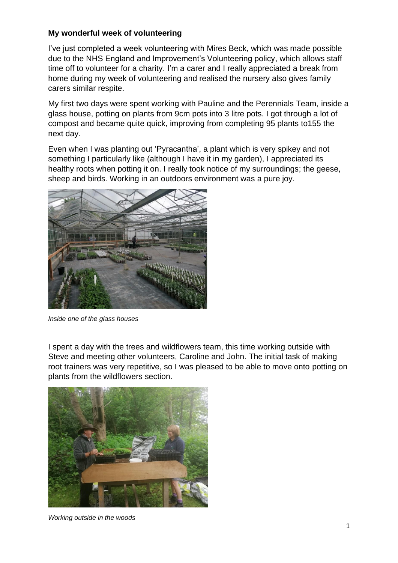## **My wonderful week of volunteering**

I've just completed a week volunteering with Mires Beck, which was made possible due to the NHS England and Improvement's Volunteering policy, which allows staff time off to volunteer for a charity. I'm a carer and I really appreciated a break from home during my week of volunteering and realised the nursery also gives family carers similar respite.

My first two days were spent working with Pauline and the Perennials Team, inside a glass house, potting on plants from 9cm pots into 3 litre pots. I got through a lot of compost and became quite quick, improving from completing 95 plants to155 the next day.

Even when I was planting out 'Pyracantha', a plant which is very spikey and not something I particularly like (although I have it in my garden). I appreciated its healthy roots when potting it on. I really took notice of my surroundings; the geese, sheep and birds. Working in an outdoors environment was a pure joy.



*Inside one of the glass houses*

I spent a day with the trees and wildflowers team, this time working outside with Steve and meeting other volunteers, Caroline and John. The initial task of making root trainers was very repetitive, so I was pleased to be able to move onto potting on plants from the wildflowers section.



*Working outside in the woods*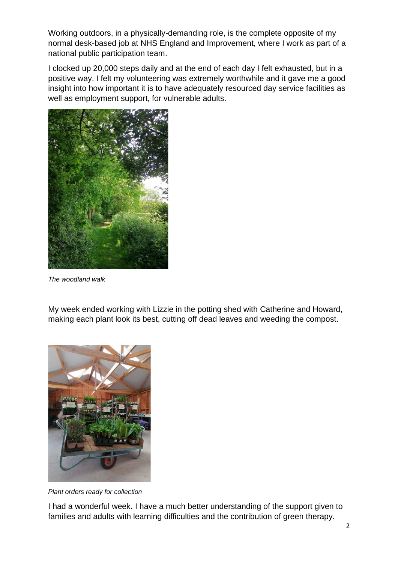Working outdoors, in a physically-demanding role, is the complete opposite of my normal desk-based job at NHS England and Improvement, where I work as part of a national public participation team.

I clocked up 20,000 steps daily and at the end of each day I felt exhausted, but in a positive way. I felt my volunteering was extremely worthwhile and it gave me a good insight into how important it is to have adequately resourced day service facilities as well as employment support, for vulnerable adults.



*The woodland walk*

My week ended working with Lizzie in the potting shed with Catherine and Howard, making each plant look its best, cutting off dead leaves and weeding the compost.



*Plant orders ready for collection*

I had a wonderful week. I have a much better understanding of the support given to families and adults with learning difficulties and the contribution of green therapy.